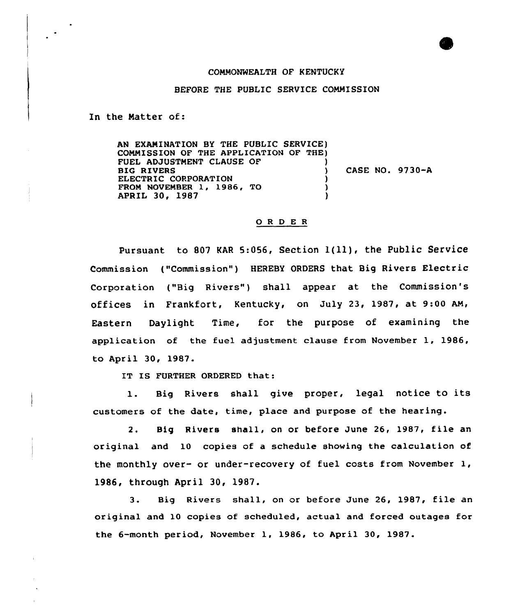## COMMONWEALTH QF KENTUCKY

## BEFORE THE PUBLIC SERVICE COMMISSION

In the Natter of:

AN EXAMINATION BY THE PUBLIC SERVICE) COMMISSION QF THE APPLICATION OF THE) FUEL ADJUSTMENT CLAUSE OF ) BIG RIVERS (1993) ELECTRIC CORPORATION FROM NOVEMBER 1, 1986, TO APRIL 30, 1987 ) CASE NO. 9730-A

## 0 <sup>R</sup> <sup>D</sup> E <sup>R</sup>

pursuant to <sup>807</sup> KAR 5:056, Section l(ll), the Public Service Commission {"Commission") HEREBY ORDERS that Big Rivers Electric Corporation ("Big Rivers") shall appear at the Commission's offices in Frankfort, Kentucky, on July 23, 1987, at 9:00 AM, Eastern Daylight Time, for the purpose of examining the application of the fuel adjustment clause from November 1, 1986, to April 30, 1987.

IT IS FURTHER ORDERED that:

1. Big Rivers shall give proper, legal notice to its customers of the date, time, place and purpose of the hearing.

2. Big Rivers shall, on or before June 26, 1987, file an original and 10 copies of a schedule showing the calculation of the monthly over- or under-recovery of fuel costs from November 1, l986, through April 30, 1987.

3. Big Rivers shall, on or before June 26, 1987, file an original and 10 copies of scheduled, actual and forced outages for the 6-month period, November 1, 1986, to April 30, 1987.